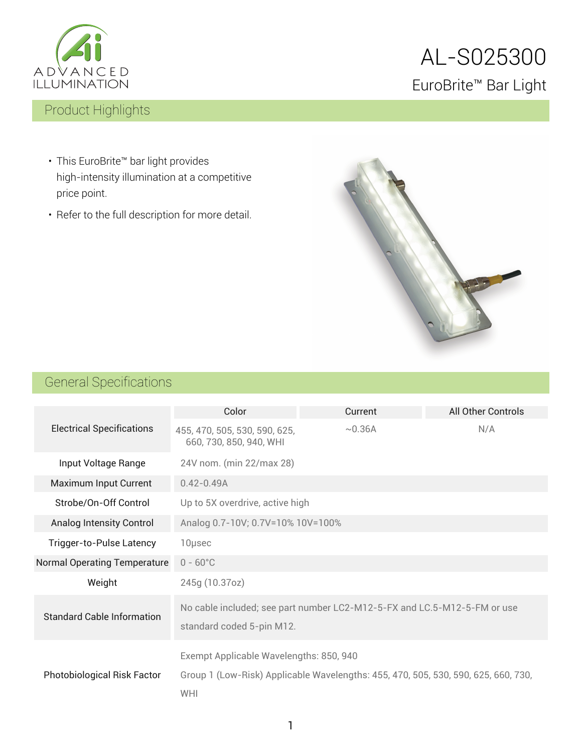

# AL-S025300 EuroBrite™ Bar Light

## Product Highlights

- This EuroBrite™ bar light provides high-intensity illumination at a competitive price point.
- Refer to the full description for more detail.



## General Specifications

|                                     | Color                                                                                                 | Current                                                                            | All Other Controls |  |  |
|-------------------------------------|-------------------------------------------------------------------------------------------------------|------------------------------------------------------------------------------------|--------------------|--|--|
| <b>Electrical Specifications</b>    | 455, 470, 505, 530, 590, 625,<br>660, 730, 850, 940, WHI                                              | ~10.36A                                                                            | N/A                |  |  |
| Input Voltage Range                 | 24V nom. (min 22/max 28)                                                                              |                                                                                    |                    |  |  |
| Maximum Input Current               | $0.42 - 0.49A$                                                                                        |                                                                                    |                    |  |  |
| Strobe/On-Off Control               | Up to 5X overdrive, active high                                                                       |                                                                                    |                    |  |  |
| Analog Intensity Control            | Analog 0.7-10V; 0.7V=10% 10V=100%                                                                     |                                                                                    |                    |  |  |
| Trigger-to-Pulse Latency            | 10µsec                                                                                                |                                                                                    |                    |  |  |
| <b>Normal Operating Temperature</b> | $0 - 60^{\circ}$ C                                                                                    |                                                                                    |                    |  |  |
| Weight                              | 245g (10.37oz)                                                                                        |                                                                                    |                    |  |  |
| <b>Standard Cable Information</b>   | No cable included; see part number LC2-M12-5-FX and LC.5-M12-5-FM or use<br>standard coded 5-pin M12. |                                                                                    |                    |  |  |
| <b>Photobiological Risk Factor</b>  | Exempt Applicable Wavelengths: 850, 940<br>WHI                                                        | Group 1 (Low-Risk) Applicable Wavelengths: 455, 470, 505, 530, 590, 625, 660, 730, |                    |  |  |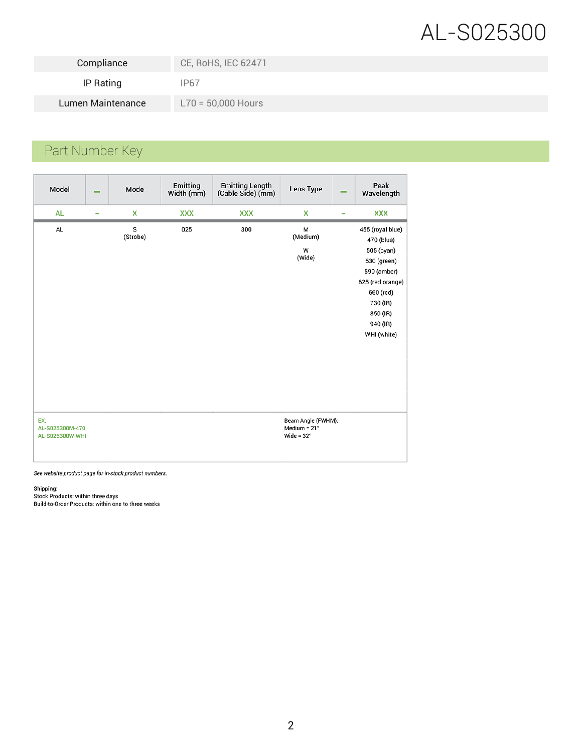# AL-S025300

| Compliance        | CE, RoHS, IEC 62471  |
|-------------------|----------------------|
| IP Rating         | IP67                 |
| Lumen Maintenance | $L70 = 50,000$ Hours |

## Part Number Key

| Model                                     | - | Mode          | Emitting<br>Width (mm) | <b>Emitting Length</b><br>(Cable Side) (mm) | Lens Type                                                 | - | Peak<br>Wavelength                                                                                                                                             |
|-------------------------------------------|---|---------------|------------------------|---------------------------------------------|-----------------------------------------------------------|---|----------------------------------------------------------------------------------------------------------------------------------------------------------------|
| <b>AL</b>                                 |   | X             | <b>XXX</b>             | <b>XXX</b>                                  | x                                                         |   | <b>XXX</b>                                                                                                                                                     |
| AL                                        |   | s<br>(Strobe) | 025                    | 300                                         | M<br>(Medium)<br>W<br>(Wide)                              |   | 455 (royal blue)<br>470 (blue)<br>505 (cyan)<br>530 (green)<br>590 (amber)<br>625 (red orange)<br>660 (red)<br>730 (IR)<br>850 (IR)<br>940 (IR)<br>WHI (white) |
| EX:<br>AL-S025300M-470<br>AL-S025300W-WHI |   |               |                        |                                             | Beam Angle (FWHM):<br>Medium = $21°$<br>Wide = $32^\circ$ |   |                                                                                                                                                                |

See website product page for in-stock product numbers.

Shipping:<br>Stock Products: within three days<br>Build-to-Order Products: within one to three weeks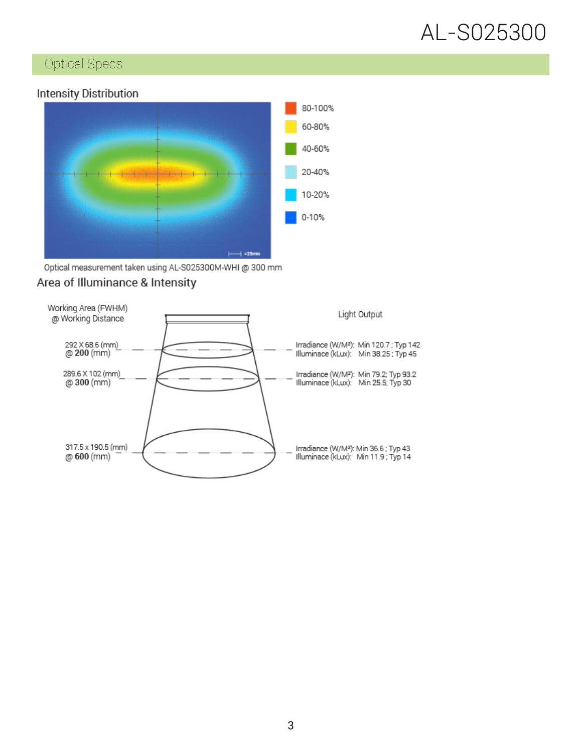

### Optical Specs

#### **Intensity Distribution**



Optical measurement taken using AL-S025300M-WHI @ 300 mm

#### Area of Illuminance & Intensity

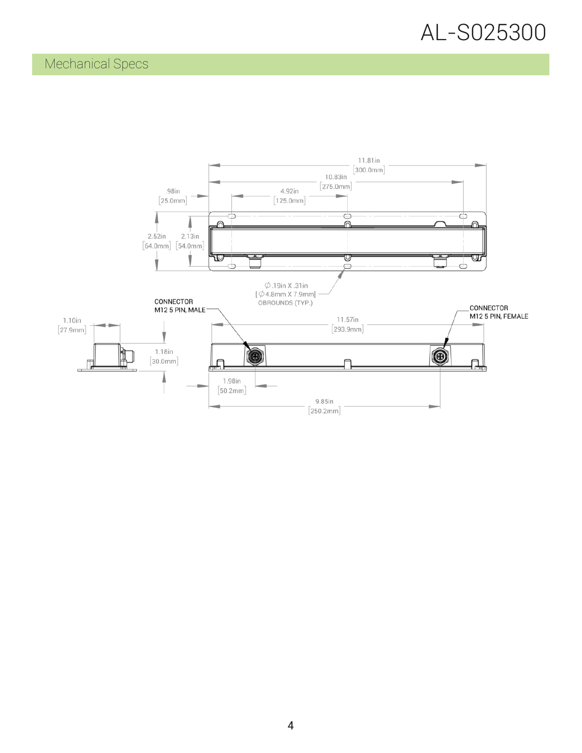### Mechanical Specs

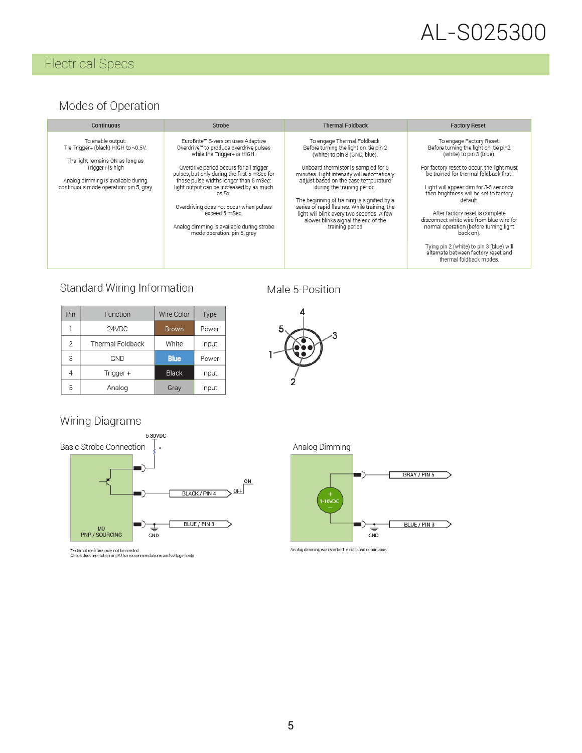# AL-S025300

## Electrical Specs

#### Modes of Operation

| Continuous<br><b>Strobe</b>                                                                                                                                                                     |                                                                                                                                                                                                                                                                                                                                                                                                                                                | <b>Thermal Foldback</b>                                                                                                                                                                                                                                                                                                                                                                                                                                                  | <b>Factory Reset</b>                                                                                                                                                                                                                                                                                                                                                                                                                                                                                                                    |  |
|-------------------------------------------------------------------------------------------------------------------------------------------------------------------------------------------------|------------------------------------------------------------------------------------------------------------------------------------------------------------------------------------------------------------------------------------------------------------------------------------------------------------------------------------------------------------------------------------------------------------------------------------------------|--------------------------------------------------------------------------------------------------------------------------------------------------------------------------------------------------------------------------------------------------------------------------------------------------------------------------------------------------------------------------------------------------------------------------------------------------------------------------|-----------------------------------------------------------------------------------------------------------------------------------------------------------------------------------------------------------------------------------------------------------------------------------------------------------------------------------------------------------------------------------------------------------------------------------------------------------------------------------------------------------------------------------------|--|
| To enable output:<br>Tie Trigger+ (black) HIGH to >0.5V.<br>The light remains ON as long as<br>Trigger+ is high<br>Analog dimming is available during<br>continuous mode operation: pin 5, gray | EuroBrite™ S-version uses Adaptive<br>Overdrive" to produce overdrive pulses<br>while the Trigger+ is HIGH.<br>Overdrive period occurs for all trigger<br>pulses, but only during the first 5 mSec for<br>those pulse widths longer than 5 mSec:<br>light output can be increased by as much<br>as 5x.<br>Overdriving does not occur when pulses<br>exceed 5 mSec.<br>Analog dimming is available during strobe<br>mode operation: pin 5, gray | To engage Thermal Foldback:<br>Before turning the light on, tie pin 2<br>(white) to pin 3 (GND, blue).<br>Onboard thermistor is sampled for 5<br>minutes. Light intensity will automaticaly<br>adjust based on the case tempurature<br>during the training period.<br>The beginning of training is signified by a<br>series of rapid flashes. While training, the<br>light will blink every two seconds. A few<br>slower blinks signal the end of the<br>training period | To engage Factory Reset:<br>Before turning the light on, tie pin2<br>(white) to pin 3 (blue).<br>For factory reset to occur, the light must<br>be trained for thermal foldback first.<br>Light will appear dim for 3-5 seconds<br>then brightness will be set to factory<br>default<br>After factory reset is complete<br>disconnect white wire from blue wire for<br>normal operation (before turning light<br>back on).<br>Tying pin 2 (white) to pin 3 (blue) will<br>alternate between factory reset and<br>thermal foldback modes. |  |

#### Standard Wiring Information

| Pin            | Function         | Wire Color   | Type  |
|----------------|------------------|--------------|-------|
| 1              | 24VDC            | <b>Brown</b> | Power |
| $\overline{2}$ | Thermal Foldback | White        | Input |
| 3              | GND              | <b>Blue</b>  | Power |
| 4              | Trigger +        | Black        | Input |
| 5              | Analog           | Gray         | Input |

#### Male 5-Position



#### Wiring Diagrams



\*External resistors may not be needed<br>Check documentation on I/O for recommendations and voltage limits

Analog Dimming



Analog dimming works in both strobe and continuous